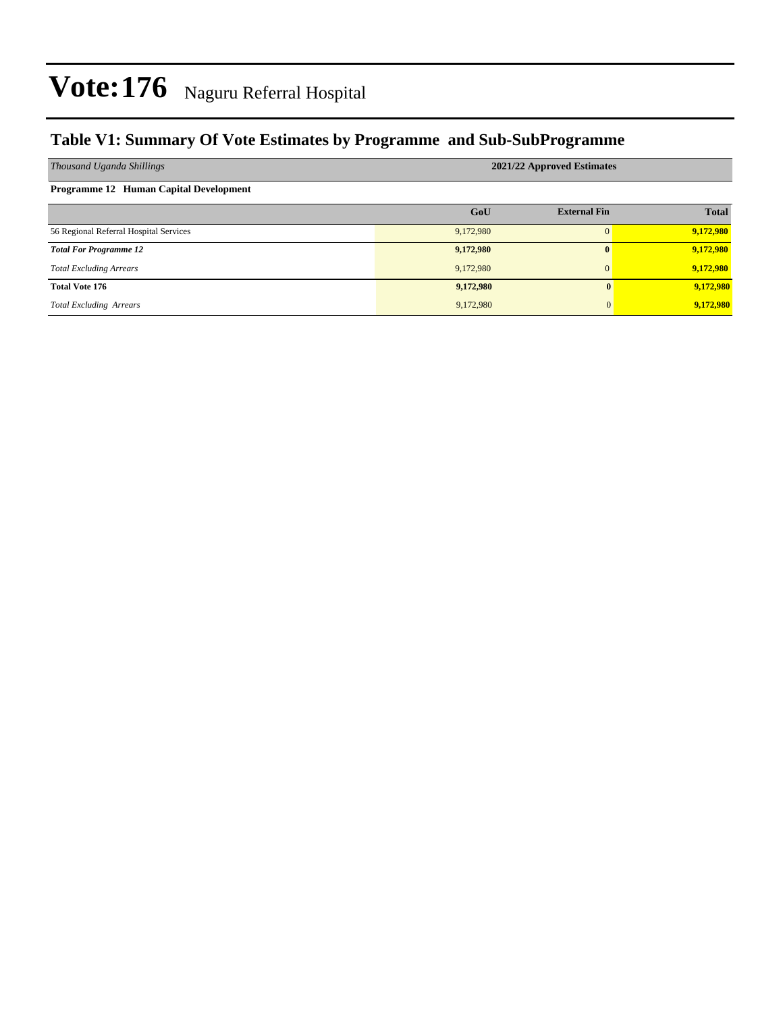### **Table V1: Summary Of Vote Estimates by Programme and Sub-SubProgramme**

| Thousand Uganda Shillings              | 2021/22 Approved Estimates |                     |              |  |  |  |  |  |
|----------------------------------------|----------------------------|---------------------|--------------|--|--|--|--|--|
| Programme 12 Human Capital Development |                            |                     |              |  |  |  |  |  |
|                                        | GoU                        | <b>External Fin</b> | <b>Total</b> |  |  |  |  |  |
| 56 Regional Referral Hospital Services | 9,172,980                  |                     | 9,172,980    |  |  |  |  |  |
| <b>Total For Programme 12</b>          | 9,172,980                  |                     | 9,172,980    |  |  |  |  |  |
| <b>Total Excluding Arrears</b>         | 9,172,980                  | $\Omega$            | 9,172,980    |  |  |  |  |  |
| <b>Total Vote 176</b>                  | 9,172,980                  | 0                   | 9,172,980    |  |  |  |  |  |
| <b>Total Excluding Arrears</b>         | 9,172,980                  | $\overline{0}$      | 9,172,980    |  |  |  |  |  |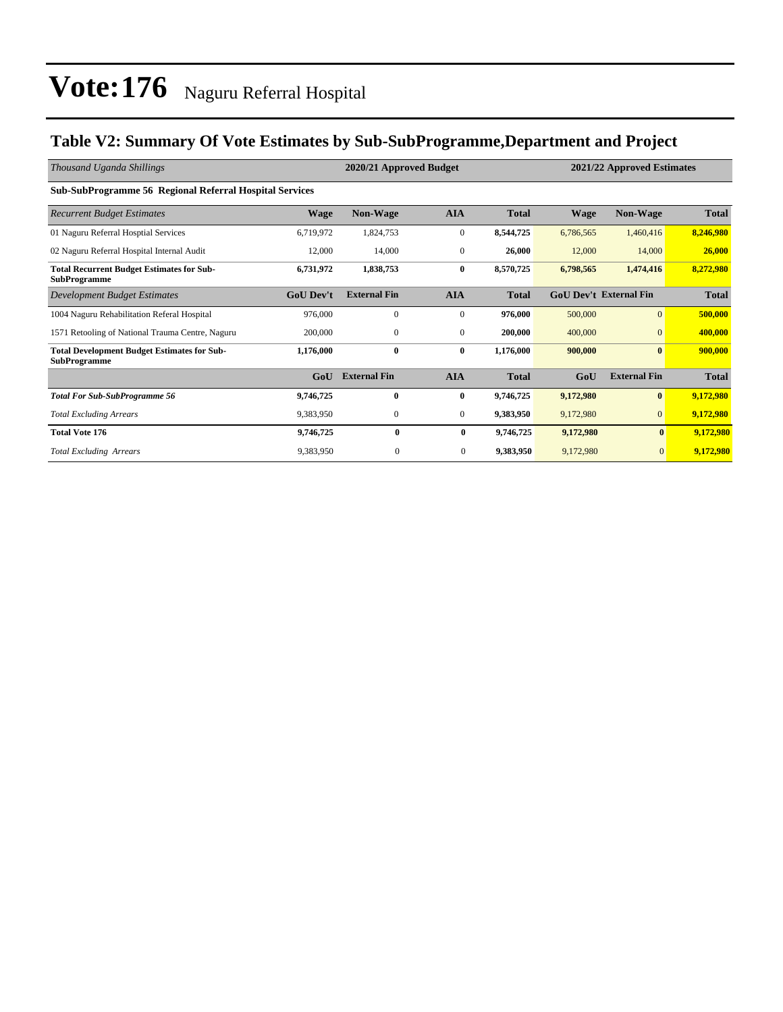### **Table V2: Summary Of Vote Estimates by Sub-SubProgramme,Department and Project**

| Thousand Uganda Shillings                                                 |                  | 2020/21 Approved Budget |                |              | 2021/22 Approved Estimates |                               |              |
|---------------------------------------------------------------------------|------------------|-------------------------|----------------|--------------|----------------------------|-------------------------------|--------------|
| <b>Sub-SubProgramme 56 Regional Referral Hospital Services</b>            |                  |                         |                |              |                            |                               |              |
| <b>Recurrent Budget Estimates</b>                                         | <b>Wage</b>      | <b>Non-Wage</b>         | <b>AIA</b>     | <b>Total</b> | <b>Wage</b>                | <b>Non-Wage</b>               | <b>Total</b> |
| 01 Naguru Referral Hosptial Services                                      | 6,719,972        | 1,824,753               | $\overline{0}$ | 8,544,725    | 6,786,565                  | 1,460,416                     | 8,246,980    |
| 02 Naguru Referral Hospital Internal Audit                                | 12,000           | 14,000                  | $\overline{0}$ | 26,000       | 12,000                     | 14,000                        | 26,000       |
| <b>Total Recurrent Budget Estimates for Sub-</b><br><b>SubProgramme</b>   | 6,731,972        | 1,838,753               | 0              | 8,570,725    | 6,798,565                  | 1,474,416                     | 8,272,980    |
| Development Budget Estimates                                              | <b>GoU Dev't</b> | <b>External Fin</b>     | <b>AIA</b>     | <b>Total</b> |                            | <b>GoU Dev't External Fin</b> | <b>Total</b> |
| 1004 Naguru Rehabilitation Referal Hospital                               | 976,000          | $\mathbf{0}$            | $\overline{0}$ | 976,000      | 500,000                    | $\overline{0}$                | 500,000      |
| 1571 Retooling of National Trauma Centre, Naguru                          | 200,000          | $\mathbf{0}$            | $\overline{0}$ | 200,000      | 400,000                    | $\Omega$                      | 400,000      |
| <b>Total Development Budget Estimates for Sub-</b><br><b>SubProgramme</b> | 1,176,000        | $\bf{0}$                | $\bf{0}$       | 1,176,000    | 900,000                    | $\bf{0}$                      | 900,000      |
|                                                                           | GoU              | <b>External Fin</b>     | <b>AIA</b>     | <b>Total</b> | GoU                        | <b>External Fin</b>           | <b>Total</b> |
| <b>Total For Sub-SubProgramme 56</b>                                      | 9,746,725        | $\bf{0}$                | $\bf{0}$       | 9,746,725    | 9,172,980                  | $\bf{0}$                      | 9,172,980    |
| <b>Total Excluding Arrears</b>                                            | 9,383,950        | $\mathbf{0}$            | $\overline{0}$ | 9,383,950    | 9,172,980                  | $\overline{0}$                | 9,172,980    |
| <b>Total Vote 176</b>                                                     | 9,746,725        | 0                       | $\bf{0}$       | 9,746,725    | 9,172,980                  | $\bf{0}$                      | 9,172,980    |
| <b>Total Excluding Arrears</b>                                            | 9,383,950        | $\mathbf{0}$            | $\mathbf{0}$   | 9,383,950    | 9,172,980                  | $\overline{0}$                | 9,172,980    |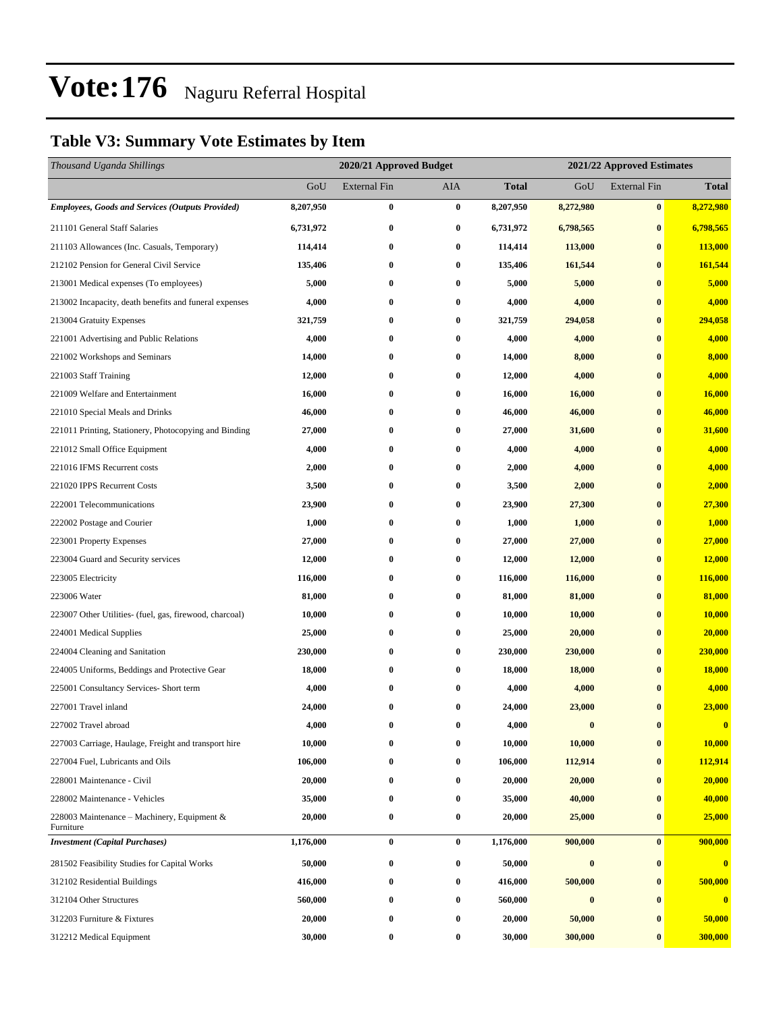### **Table V3: Summary Vote Estimates by Item**

| Thousand Uganda Shillings                                |           | 2020/21 Approved Budget |                  |              | 2021/22 Approved Estimates |                     |               |  |
|----------------------------------------------------------|-----------|-------------------------|------------------|--------------|----------------------------|---------------------|---------------|--|
|                                                          | GoU       | <b>External Fin</b>     | AIA              | <b>Total</b> | GoU                        | <b>External Fin</b> | <b>Total</b>  |  |
| <b>Employees, Goods and Services (Outputs Provided)</b>  | 8,207,950 | $\bf{0}$                | $\bf{0}$         | 8,207,950    | 8,272,980                  | $\bf{0}$            | 8,272,980     |  |
| 211101 General Staff Salaries                            | 6,731,972 | $\boldsymbol{0}$        | $\bf{0}$         | 6,731,972    | 6,798,565                  | $\bf{0}$            | 6,798,565     |  |
| 211103 Allowances (Inc. Casuals, Temporary)              | 114,414   | $\bf{0}$                | $\boldsymbol{0}$ | 114,414      | 113,000                    | $\bf{0}$            | 113,000       |  |
| 212102 Pension for General Civil Service                 | 135,406   | $\bf{0}$                | $\bf{0}$         | 135,406      | 161,544                    | $\bf{0}$            | 161,544       |  |
| 213001 Medical expenses (To employees)                   | 5,000     | $\bf{0}$                | $\bf{0}$         | 5,000        | 5,000                      | $\bf{0}$            | 5,000         |  |
| 213002 Incapacity, death benefits and funeral expenses   | 4,000     | $\bf{0}$                | $\bf{0}$         | 4,000        | 4,000                      | $\bf{0}$            | 4,000         |  |
| 213004 Gratuity Expenses                                 | 321,759   | $\bf{0}$                | $\bf{0}$         | 321,759      | 294,058                    | $\bf{0}$            | 294,058       |  |
| 221001 Advertising and Public Relations                  | 4,000     | $\bf{0}$                | $\boldsymbol{0}$ | 4,000        | 4,000                      | $\bf{0}$            | 4,000         |  |
| 221002 Workshops and Seminars                            | 14,000    | $\bf{0}$                | $\bf{0}$         | 14,000       | 8,000                      | $\bf{0}$            | 8,000         |  |
| 221003 Staff Training                                    | 12,000    | $\bf{0}$                | $\bf{0}$         | 12,000       | 4,000                      | $\bf{0}$            | 4,000         |  |
| 221009 Welfare and Entertainment                         | 16,000    | $\bf{0}$                | $\bf{0}$         | 16,000       | 16,000                     | $\bf{0}$            | 16,000        |  |
| 221010 Special Meals and Drinks                          | 46,000    | $\bf{0}$                | $\bf{0}$         | 46,000       | 46,000                     | $\bf{0}$            | 46,000        |  |
| 221011 Printing, Stationery, Photocopying and Binding    | 27,000    | $\bf{0}$                | $\boldsymbol{0}$ | 27,000       | 31,600                     | $\bf{0}$            | 31,600        |  |
| 221012 Small Office Equipment                            | 4,000     | $\bf{0}$                | $\bf{0}$         | 4,000        | 4,000                      | $\bf{0}$            | 4,000         |  |
| 221016 IFMS Recurrent costs                              | 2,000     | $\bf{0}$                | $\bf{0}$         | 2,000        | 4,000                      | $\bf{0}$            | 4,000         |  |
| 221020 IPPS Recurrent Costs                              | 3,500     | $\bf{0}$                | $\bf{0}$         | 3,500        | 2,000                      | $\bf{0}$            | 2,000         |  |
| 222001 Telecommunications                                | 23,900    | $\bf{0}$                | $\bf{0}$         | 23,900       | 27,300                     | $\bf{0}$            | 27,300        |  |
| 222002 Postage and Courier                               | 1,000     | $\bf{0}$                | $\bf{0}$         | 1,000        | 1,000                      | $\bf{0}$            | 1,000         |  |
| 223001 Property Expenses                                 | 27,000    | $\bf{0}$                | $\bf{0}$         | 27,000       | 27,000                     | $\bf{0}$            | 27,000        |  |
| 223004 Guard and Security services                       | 12,000    | $\bf{0}$                | $\bf{0}$         | 12,000       | 12,000                     | $\bf{0}$            | <b>12,000</b> |  |
| 223005 Electricity                                       | 116,000   | $\bf{0}$                | $\bf{0}$         | 116,000      | 116,000                    | $\bf{0}$            | 116,000       |  |
| 223006 Water                                             | 81,000    | $\bf{0}$                | $\bf{0}$         | 81,000       | 81,000                     | $\bf{0}$            | 81,000        |  |
| 223007 Other Utilities- (fuel, gas, firewood, charcoal)  | 10,000    | $\bf{0}$                | $\bf{0}$         | 10,000       | 10,000                     | $\bf{0}$            | <b>10,000</b> |  |
| 224001 Medical Supplies                                  | 25,000    | $\bf{0}$                | $\bf{0}$         | 25,000       | 20,000                     | $\bf{0}$            | 20,000        |  |
| 224004 Cleaning and Sanitation                           | 230,000   | $\bf{0}$                | $\bf{0}$         | 230,000      | 230,000                    | $\bf{0}$            | 230,000       |  |
| 224005 Uniforms, Beddings and Protective Gear            | 18,000    | $\bf{0}$                | $\bf{0}$         | 18,000       | 18,000                     | $\bf{0}$            | 18,000        |  |
| 225001 Consultancy Services- Short term                  | 4,000     | $\bf{0}$                | $\bf{0}$         | 4,000        | 4,000                      | $\bf{0}$            | 4,000         |  |
| 227001 Travel inland                                     | 24,000    | 0                       | $\bf{0}$         | 24,000       | 23,000                     | $\bf{0}$            | 23,000        |  |
| 227002 Travel abroad                                     | 4,000     | 0                       | 0                | 4,000        | $\bf{0}$                   | $\bf{0}$            | $\bf{0}$      |  |
| 227003 Carriage, Haulage, Freight and transport hire     | 10,000    | $\boldsymbol{0}$        | 0                | 10,000       | 10,000                     | $\boldsymbol{0}$    | 10,000        |  |
| 227004 Fuel, Lubricants and Oils                         | 106,000   | 0                       | $\bf{0}$         | 106,000      | 112,914                    | $\bf{0}$            | 112,914       |  |
| 228001 Maintenance - Civil                               | 20,000    | 0                       | 0                | 20,000       | 20,000                     | $\bf{0}$            | 20,000        |  |
| 228002 Maintenance - Vehicles                            | 35,000    | $\bf{0}$                | 0                | 35,000       | 40,000                     | $\bf{0}$            | 40,000        |  |
| 228003 Maintenance – Machinery, Equipment &<br>Furniture | 20,000    | $\bf{0}$                | 0                | 20,000       | 25,000                     | $\bf{0}$            | 25,000        |  |
| <b>Investment</b> (Capital Purchases)                    | 1,176,000 | $\bf{0}$                | $\bf{0}$         | 1,176,000    | 900,000                    | $\bf{0}$            | 900,000       |  |
| 281502 Feasibility Studies for Capital Works             | 50,000    | $\boldsymbol{0}$        | $\bf{0}$         | 50,000       | $\bf{0}$                   | $\bf{0}$            | $\bf{0}$      |  |
| 312102 Residential Buildings                             | 416,000   | $\boldsymbol{0}$        | 0                | 416,000      | 500,000                    | $\bf{0}$            | 500,000       |  |
| 312104 Other Structures                                  | 560,000   | $\bf{0}$                | $\bf{0}$         | 560,000      | $\bf{0}$                   | $\bf{0}$            | $\bf{0}$      |  |
| 312203 Furniture & Fixtures                              | 20,000    | $\bf{0}$                | 0                | 20,000       | 50,000                     | $\bf{0}$            | 50,000        |  |
| 312212 Medical Equipment                                 | 30,000    | $\boldsymbol{0}$        | 0                | 30,000       | 300,000                    | $\bf{0}$            | 300,000       |  |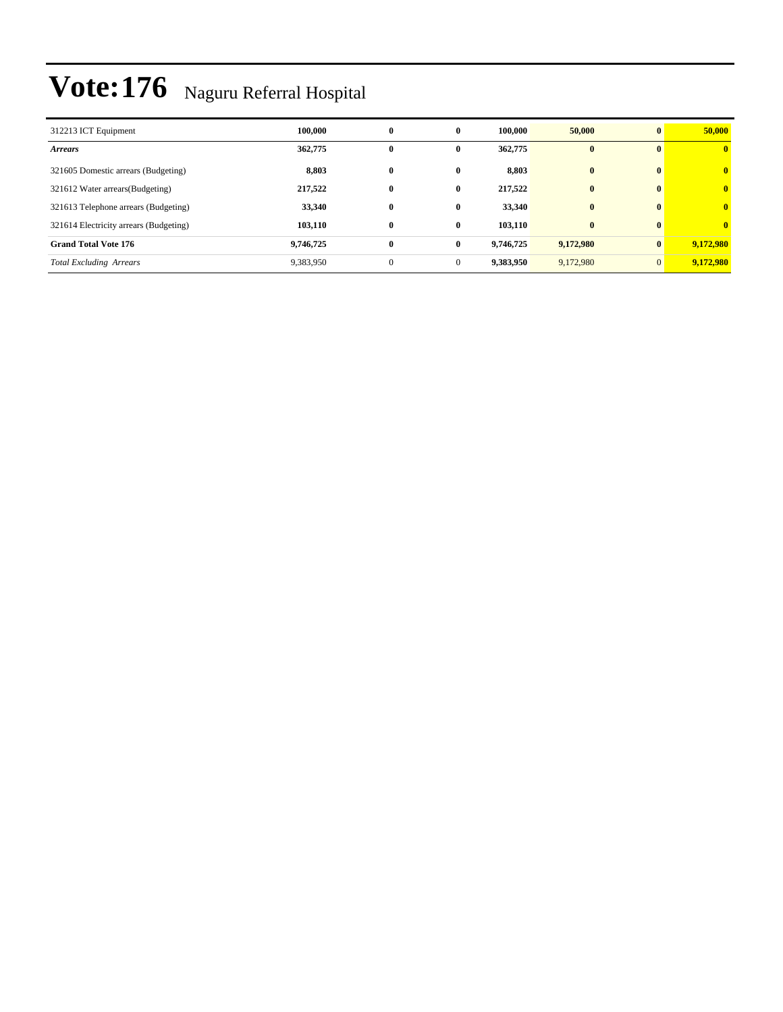| 312213 ICT Equipment                   | 100.000   | $\bf{0}$     | $\bf{0}$     | 100.000   | 50,000    | $\mathbf{0}$ | 50,000         |
|----------------------------------------|-----------|--------------|--------------|-----------|-----------|--------------|----------------|
| <b>Arrears</b>                         | 362,775   | 0            | $\mathbf{0}$ | 362,775   | $\bf{0}$  | $\mathbf{0}$ | $\bf{0}$       |
| 321605 Domestic arrears (Budgeting)    | 8,803     | 0            | $\bf{0}$     | 8,803     | $\bf{0}$  | $\mathbf{0}$ | $\bf{0}$       |
| 321612 Water arrears (Budgeting)       | 217,522   | $\bf{0}$     | $\bf{0}$     | 217,522   | $\bf{0}$  | $\mathbf{0}$ | $\overline{0}$ |
| 321613 Telephone arrears (Budgeting)   | 33,340    | $\bf{0}$     | 0            | 33,340    | $\bf{0}$  | $\mathbf{0}$ | $\overline{0}$ |
| 321614 Electricity arrears (Budgeting) | 103,110   | $\bf{0}$     | 0            | 103,110   | $\bf{0}$  | $\mathbf{0}$ | $\mathbf{0}$   |
| <b>Grand Total Vote 176</b>            | 9,746,725 | $\bf{0}$     | $\bf{0}$     | 9,746,725 | 9,172,980 | $\mathbf{0}$ | 9,172,980      |
| <b>Total Excluding Arrears</b>         | 9,383,950 | $\mathbf{0}$ | $\Omega$     | 9,383,950 | 9,172,980 | $\Omega$     | 9,172,980      |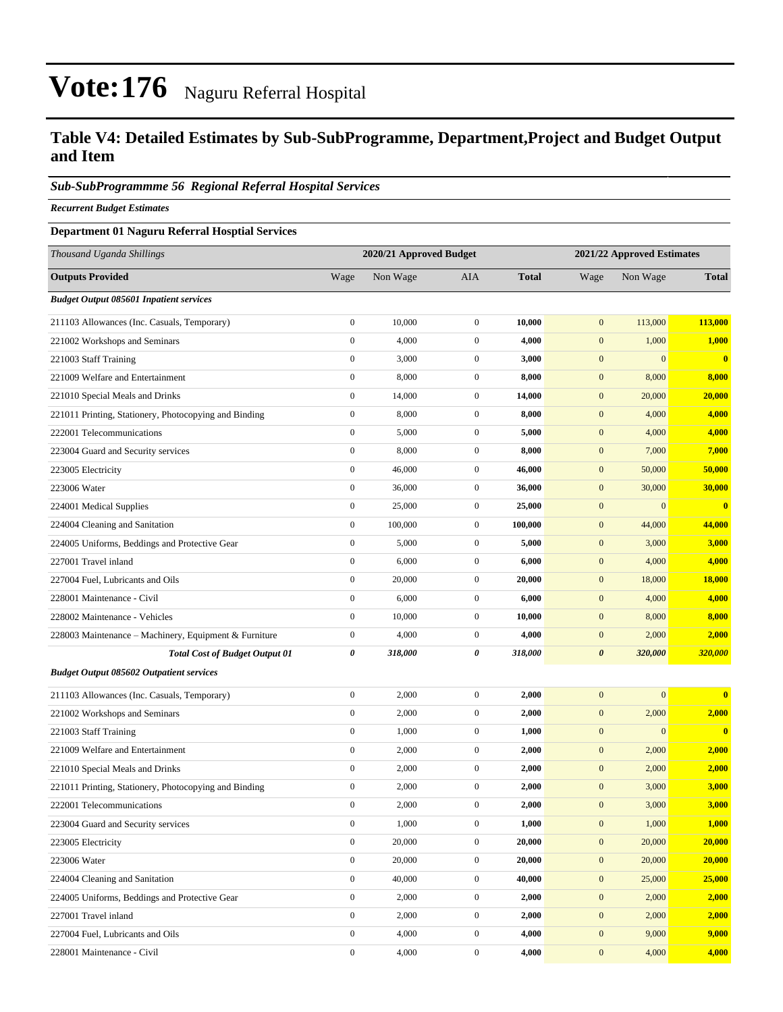### **Table V4: Detailed Estimates by Sub-SubProgramme, Department,Project and Budget Output and Item**

#### *Sub-SubProgrammme 56 Regional Referral Hospital Services*

*Recurrent Budget Estimates*

#### **Department 01 Naguru Referral Hosptial Services**

| Thousand Uganda Shillings                             |                  | 2020/21 Approved Budget |                  | 2021/22 Approved Estimates |                       |                  |               |  |
|-------------------------------------------------------|------------------|-------------------------|------------------|----------------------------|-----------------------|------------------|---------------|--|
| <b>Outputs Provided</b>                               | Wage             | Non Wage                | AIA              | <b>Total</b>               | Wage                  | Non Wage         | <b>Total</b>  |  |
| <b>Budget Output 085601 Inpatient services</b>        |                  |                         |                  |                            |                       |                  |               |  |
| 211103 Allowances (Inc. Casuals, Temporary)           | $\boldsymbol{0}$ | 10,000                  | $\boldsymbol{0}$ | 10,000                     | $\boldsymbol{0}$      | 113,000          | 113,000       |  |
| 221002 Workshops and Seminars                         | $\boldsymbol{0}$ | 4,000                   | $\mathbf{0}$     | 4,000                      | $\boldsymbol{0}$      | 1,000            | 1,000         |  |
| 221003 Staff Training                                 | $\boldsymbol{0}$ | 3,000                   | $\mathbf{0}$     | 3,000                      | $\boldsymbol{0}$      | $\Omega$         | $\bf{0}$      |  |
| 221009 Welfare and Entertainment                      | $\boldsymbol{0}$ | 8,000                   | $\boldsymbol{0}$ | 8,000                      | $\mathbf{0}$          | 8,000            | 8,000         |  |
| 221010 Special Meals and Drinks                       | $\boldsymbol{0}$ | 14,000                  | $\boldsymbol{0}$ | 14,000                     | $\boldsymbol{0}$      | 20,000           | 20,000        |  |
| 221011 Printing, Stationery, Photocopying and Binding | $\boldsymbol{0}$ | 8,000                   | $\boldsymbol{0}$ | 8,000                      | $\boldsymbol{0}$      | 4,000            | 4,000         |  |
| 222001 Telecommunications                             | $\boldsymbol{0}$ | 5,000                   | $\mathbf{0}$     | 5,000                      | $\mathbf{0}$          | 4,000            | 4,000         |  |
| 223004 Guard and Security services                    | $\boldsymbol{0}$ | 8,000                   | $\mathbf{0}$     | 8,000                      | $\boldsymbol{0}$      | 7,000            | 7,000         |  |
| 223005 Electricity                                    | $\boldsymbol{0}$ | 46,000                  | $\boldsymbol{0}$ | 46,000                     | $\boldsymbol{0}$      | 50,000           | 50,000        |  |
| 223006 Water                                          | $\boldsymbol{0}$ | 36,000                  | $\boldsymbol{0}$ | 36,000                     | $\boldsymbol{0}$      | 30,000           | 30,000        |  |
| 224001 Medical Supplies                               | $\boldsymbol{0}$ | 25,000                  | $\boldsymbol{0}$ | 25,000                     | $\boldsymbol{0}$      | $\boldsymbol{0}$ | $\mathbf{0}$  |  |
| 224004 Cleaning and Sanitation                        | $\boldsymbol{0}$ | 100,000                 | $\mathbf{0}$     | 100,000                    | $\boldsymbol{0}$      | 44,000           | 44,000        |  |
| 224005 Uniforms, Beddings and Protective Gear         | $\boldsymbol{0}$ | 5,000                   | $\mathbf{0}$     | 5,000                      | $\boldsymbol{0}$      | 3,000            | 3,000         |  |
| 227001 Travel inland                                  | $\boldsymbol{0}$ | 6,000                   | $\boldsymbol{0}$ | 6,000                      | $\boldsymbol{0}$      | 4,000            | 4,000         |  |
| 227004 Fuel, Lubricants and Oils                      | $\boldsymbol{0}$ | 20,000                  | $\boldsymbol{0}$ | 20,000                     | $\boldsymbol{0}$      | 18,000           | <b>18,000</b> |  |
| 228001 Maintenance - Civil                            | $\boldsymbol{0}$ | 6,000                   | $\boldsymbol{0}$ | 6,000                      | $\boldsymbol{0}$      | 4,000            | 4,000         |  |
| 228002 Maintenance - Vehicles                         | $\boldsymbol{0}$ | 10,000                  | $\mathbf{0}$     | 10,000                     | $\boldsymbol{0}$      | 8,000            | 8,000         |  |
| 228003 Maintenance – Machinery, Equipment & Furniture | $\boldsymbol{0}$ | 4,000                   | $\mathbf{0}$     | 4,000                      | $\boldsymbol{0}$      | 2,000            | 2,000         |  |
| <b>Total Cost of Budget Output 01</b>                 | $\pmb{\theta}$   | 318,000                 | 0                | 318,000                    | $\boldsymbol{\theta}$ | 320,000          | 320,000       |  |
| <b>Budget Output 085602 Outpatient services</b>       |                  |                         |                  |                            |                       |                  |               |  |
| 211103 Allowances (Inc. Casuals, Temporary)           | $\boldsymbol{0}$ | 2,000                   | $\boldsymbol{0}$ | 2,000                      | $\boldsymbol{0}$      | $\overline{0}$   | $\bf{0}$      |  |
| 221002 Workshops and Seminars                         | $\boldsymbol{0}$ | 2,000                   | $\mathbf{0}$     | 2,000                      | $\boldsymbol{0}$      | 2,000            | 2,000         |  |
| 221003 Staff Training                                 | $\boldsymbol{0}$ | 1,000                   | $\boldsymbol{0}$ | 1,000                      | $\boldsymbol{0}$      | $\boldsymbol{0}$ | $\bf{0}$      |  |
| 221009 Welfare and Entertainment                      | $\boldsymbol{0}$ | 2,000                   | $\boldsymbol{0}$ | 2,000                      | $\boldsymbol{0}$      | 2,000            | 2,000         |  |
| 221010 Special Meals and Drinks                       | $\boldsymbol{0}$ | 2,000                   | $\mathbf{0}$     | 2,000                      | $\boldsymbol{0}$      | 2,000            | 2,000         |  |
| 221011 Printing, Stationery, Photocopying and Binding | $\boldsymbol{0}$ | 2,000                   | $\mathbf{0}$     | 2,000                      | $\boldsymbol{0}$      | 3,000            | 3,000         |  |
| 222001 Telecommunications                             | $\boldsymbol{0}$ | 2,000                   | $\mathbf{0}$     | 2,000                      | $\mathbf{0}$          | 3,000            | 3,000         |  |
| 223004 Guard and Security services                    | $\mathbf{0}$     | 1,000                   | $\boldsymbol{0}$ | 1,000                      | $\mathbf{0}$          | 1,000            | 1,000         |  |
| 223005 Electricity                                    | $\boldsymbol{0}$ | 20,000                  | $\mathbf{0}$     | 20,000                     | $\boldsymbol{0}$      | 20,000           | 20,000        |  |
| 223006 Water                                          | $\mathbf{0}$     | 20,000                  | $\boldsymbol{0}$ | 20,000                     | $\boldsymbol{0}$      | 20,000           | 20,000        |  |
| 224004 Cleaning and Sanitation                        | $\boldsymbol{0}$ | 40,000                  | $\boldsymbol{0}$ | 40,000                     | $\mathbf{0}$          | 25,000           | 25,000        |  |
| 224005 Uniforms, Beddings and Protective Gear         | $\boldsymbol{0}$ | 2,000                   | $\mathbf{0}$     | 2,000                      | $\boldsymbol{0}$      | 2,000            | 2,000         |  |
| 227001 Travel inland                                  | $\mathbf{0}$     | 2,000                   | $\boldsymbol{0}$ | 2,000                      | $\boldsymbol{0}$      | 2,000            | 2,000         |  |
| 227004 Fuel, Lubricants and Oils                      | $\boldsymbol{0}$ | 4,000                   | $\boldsymbol{0}$ | 4,000                      | $\boldsymbol{0}$      | 9,000            | 9,000         |  |
| 228001 Maintenance - Civil                            | $\boldsymbol{0}$ | 4,000                   | $\boldsymbol{0}$ | 4,000                      | $\boldsymbol{0}$      | 4,000            | 4,000         |  |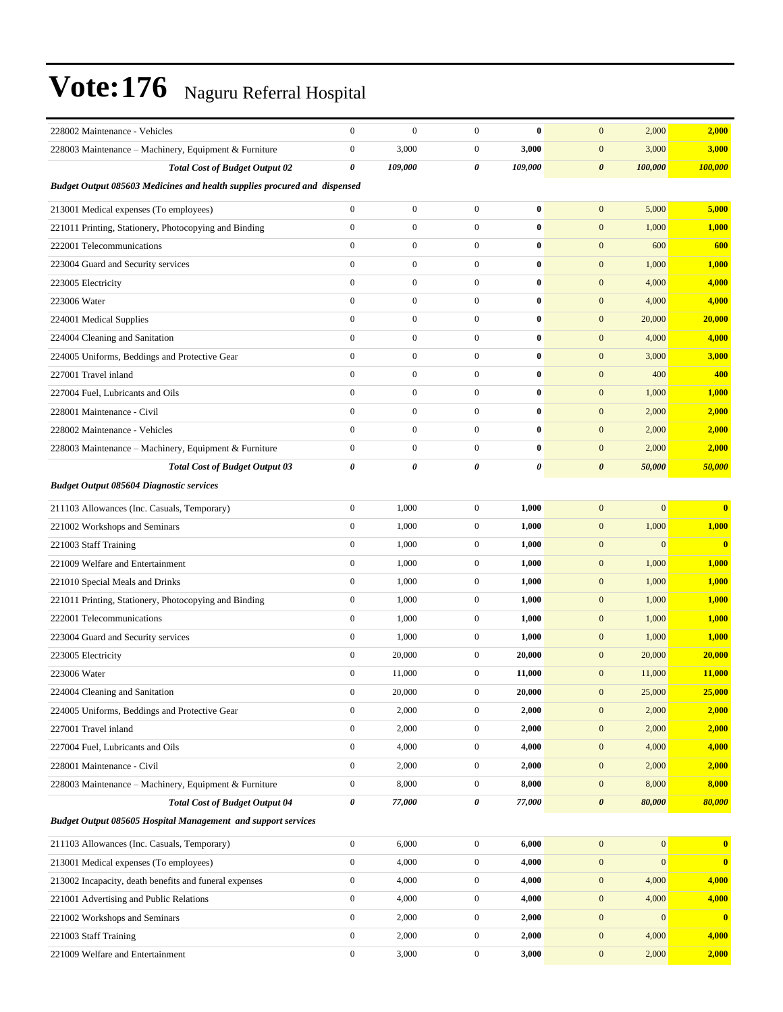| 228002 Maintenance - Vehicles                                                    | $\mathbf{0}$          | $\boldsymbol{0}$ | $\mathbf{0}$     | $\bf{0}$ | $\mathbf{0}$<br>2,000            | 2,000                   |
|----------------------------------------------------------------------------------|-----------------------|------------------|------------------|----------|----------------------------------|-------------------------|
| 228003 Maintenance - Machinery, Equipment & Furniture                            | $\boldsymbol{0}$      | 3,000            | $\mathbf{0}$     | 3,000    | $\mathbf{0}$<br>3,000            | 3,000                   |
| <b>Total Cost of Budget Output 02</b>                                            | $\boldsymbol{\theta}$ | 109,000          | 0                | 109,000  | $\boldsymbol{\theta}$<br>100,000 | 100,000                 |
| <b>Budget Output 085603 Medicines and health supplies procured and dispensed</b> |                       |                  |                  |          |                                  |                         |
| 213001 Medical expenses (To employees)                                           | $\overline{0}$        | $\boldsymbol{0}$ | $\mathbf{0}$     | $\bf{0}$ | $\mathbf{0}$<br>5,000            | 5,000                   |
| 221011 Printing, Stationery, Photocopying and Binding                            | $\boldsymbol{0}$      | $\boldsymbol{0}$ | $\overline{0}$   | $\bf{0}$ | $\mathbf{0}$<br>1,000            | 1,000                   |
| 222001 Telecommunications                                                        | $\mathbf{0}$          | $\boldsymbol{0}$ | $\overline{0}$   | $\bf{0}$ | $\mathbf{0}$<br>600              | 600                     |
| 223004 Guard and Security services                                               | $\mathbf{0}$          | $\boldsymbol{0}$ | $\overline{0}$   | $\bf{0}$ | $\mathbf{0}$<br>1,000            | 1,000                   |
| 223005 Electricity                                                               | $\mathbf{0}$          | $\boldsymbol{0}$ | $\overline{0}$   | $\bf{0}$ | 4,000<br>$\mathbf{0}$            | 4,000                   |
| 223006 Water                                                                     | $\mathbf{0}$          | $\boldsymbol{0}$ | $\overline{0}$   | $\bf{0}$ | $\mathbf{0}$<br>4,000            | 4,000                   |
| 224001 Medical Supplies                                                          | $\mathbf{0}$          | $\boldsymbol{0}$ | $\overline{0}$   | $\bf{0}$ | $\mathbf{0}$<br>20,000           | 20,000                  |
| 224004 Cleaning and Sanitation                                                   | $\mathbf{0}$          | $\boldsymbol{0}$ | $\overline{0}$   | $\bf{0}$ | $\mathbf{0}$<br>4,000            | 4,000                   |
| 224005 Uniforms, Beddings and Protective Gear                                    | $\boldsymbol{0}$      | $\boldsymbol{0}$ | $\overline{0}$   | $\bf{0}$ | $\mathbf{0}$<br>3,000            | 3,000                   |
| 227001 Travel inland                                                             | $\mathbf{0}$          | $\boldsymbol{0}$ | $\overline{0}$   | $\bf{0}$ | 400<br>$\mathbf{0}$              | 400                     |
| 227004 Fuel, Lubricants and Oils                                                 | $\mathbf{0}$          | $\boldsymbol{0}$ | $\overline{0}$   | $\bf{0}$ | $\mathbf{0}$<br>1,000            | 1,000                   |
| 228001 Maintenance - Civil                                                       | $\mathbf{0}$          | $\boldsymbol{0}$ | $\overline{0}$   | $\bf{0}$ | $\mathbf{0}$<br>2,000            | 2,000                   |
| 228002 Maintenance - Vehicles                                                    | $\mathbf{0}$          | $\boldsymbol{0}$ | $\overline{0}$   | $\bf{0}$ | $\mathbf{0}$<br>2,000            | 2,000                   |
| 228003 Maintenance - Machinery, Equipment & Furniture                            | $\boldsymbol{0}$      | $\boldsymbol{0}$ | $\overline{0}$   | $\bf{0}$ | $\mathbf{0}$<br>2,000            | 2,000                   |
| <b>Total Cost of Budget Output 03</b>                                            | $\boldsymbol{\theta}$ | $\pmb{\theta}$   | 0                | 0        | $\boldsymbol{\theta}$<br>50,000  | 50,000                  |
| <b>Budget Output 085604 Diagnostic services</b>                                  |                       |                  |                  |          |                                  |                         |
| 211103 Allowances (Inc. Casuals, Temporary)                                      | $\boldsymbol{0}$      | 1,000            | $\overline{0}$   | 1,000    | $\mathbf{0}$<br>$\mathbf{0}$     | $\bf{0}$                |
| 221002 Workshops and Seminars                                                    | $\boldsymbol{0}$      | 1,000            | $\mathbf{0}$     | 1,000    | $\mathbf{0}$<br>1,000            | 1,000                   |
| 221003 Staff Training                                                            | $\boldsymbol{0}$      | 1,000            | $\mathbf{0}$     | 1,000    | $\mathbf{0}$<br>$\mathbf{0}$     | $\bf{0}$                |
| 221009 Welfare and Entertainment                                                 | $\boldsymbol{0}$      | 1,000            | $\mathbf{0}$     | 1,000    | $\mathbf{0}$<br>1,000            | 1,000                   |
| 221010 Special Meals and Drinks                                                  | $\boldsymbol{0}$      | 1,000            | $\mathbf{0}$     | 1,000    | 1,000<br>$\mathbf{0}$            | 1,000                   |
| 221011 Printing, Stationery, Photocopying and Binding                            | $\boldsymbol{0}$      | 1,000            | $\mathbf{0}$     | 1,000    | $\mathbf{0}$<br>1,000            | 1,000                   |
| 222001 Telecommunications                                                        | $\boldsymbol{0}$      | 1,000            | $\mathbf{0}$     | 1,000    | $\mathbf{0}$<br>1,000            | 1,000                   |
| 223004 Guard and Security services                                               | $\mathbf{0}$          | 1,000            | $\mathbf{0}$     | 1,000    | $\mathbf{0}$<br>1,000            | 1,000                   |
| 223005 Electricity                                                               | $\boldsymbol{0}$      | 20,000           | $\mathbf{0}$     | 20,000   | $\mathbf{0}$<br>20,000           | 20,000                  |
| 223006 Water                                                                     | $\boldsymbol{0}$      | 11,000           | $\mathbf{0}$     | 11,000   | $\mathbf{0}$<br>11,000           | 11,000                  |
| 224004 Cleaning and Sanitation                                                   | $\boldsymbol{0}$      | 20,000           | $\boldsymbol{0}$ | 20,000   | 25,000<br>$\mathbf{0}$           | 25,000                  |
| 224005 Uniforms, Beddings and Protective Gear                                    | $\boldsymbol{0}$      | 2,000            | $\mathbf{0}$     | 2,000    | $\mathbf{0}$<br>2,000            | 2,000                   |
| 227001 Travel inland                                                             | $\boldsymbol{0}$      | 2,000            | $\boldsymbol{0}$ | 2,000    | $\mathbf{0}$<br>2,000            | 2,000                   |
| 227004 Fuel, Lubricants and Oils                                                 | $\boldsymbol{0}$      | 4,000            | $\boldsymbol{0}$ | 4,000    | $\mathbf{0}$<br>4,000            | 4,000                   |
| 228001 Maintenance - Civil                                                       | $\boldsymbol{0}$      | 2,000            | $\boldsymbol{0}$ | 2,000    | $\mathbf{0}$<br>2,000            | 2,000                   |
| 228003 Maintenance - Machinery, Equipment & Furniture                            | $\boldsymbol{0}$      | 8,000            | $\boldsymbol{0}$ | 8,000    | $\mathbf{0}$<br>8,000            | 8,000                   |
| <b>Total Cost of Budget Output 04</b>                                            | $\pmb{\theta}$        | 77,000           | 0                | 77,000   | $\boldsymbol{\theta}$<br>80,000  | 80,000                  |
| <b>Budget Output 085605 Hospital Management and support services</b>             |                       |                  |                  |          |                                  |                         |
| 211103 Allowances (Inc. Casuals, Temporary)                                      | $\boldsymbol{0}$      | 6,000            | $\boldsymbol{0}$ | 6,000    | $\mathbf{0}$<br>$\mathbf{0}$     | $\bf{0}$                |
| 213001 Medical expenses (To employees)                                           | $\boldsymbol{0}$      | 4,000            | $\boldsymbol{0}$ | 4,000    | $\mathbf{0}$<br>$\bf{0}$         | $\overline{\mathbf{0}}$ |
| 213002 Incapacity, death benefits and funeral expenses                           | $\boldsymbol{0}$      | 4,000            | $\boldsymbol{0}$ | 4,000    | 4,000<br>$\mathbf{0}$            | 4,000                   |
| 221001 Advertising and Public Relations                                          | $\boldsymbol{0}$      | 4,000            | $\boldsymbol{0}$ | 4,000    | $\mathbf{0}$<br>4,000            | 4,000                   |
| 221002 Workshops and Seminars                                                    | $\boldsymbol{0}$      | 2,000            | $\mathbf{0}$     | 2,000    | $\mathbf{0}$<br>$\mathbf{0}$     | $\mathbf{0}$            |
| 221003 Staff Training                                                            | $\boldsymbol{0}$      | 2,000            | $\boldsymbol{0}$ | 2,000    | $\mathbf{0}$<br>4,000            | 4,000                   |
| 221009 Welfare and Entertainment                                                 | $\boldsymbol{0}$      | 3,000            | $\boldsymbol{0}$ | 3,000    | $\mathbf{0}$<br>2,000            | 2,000                   |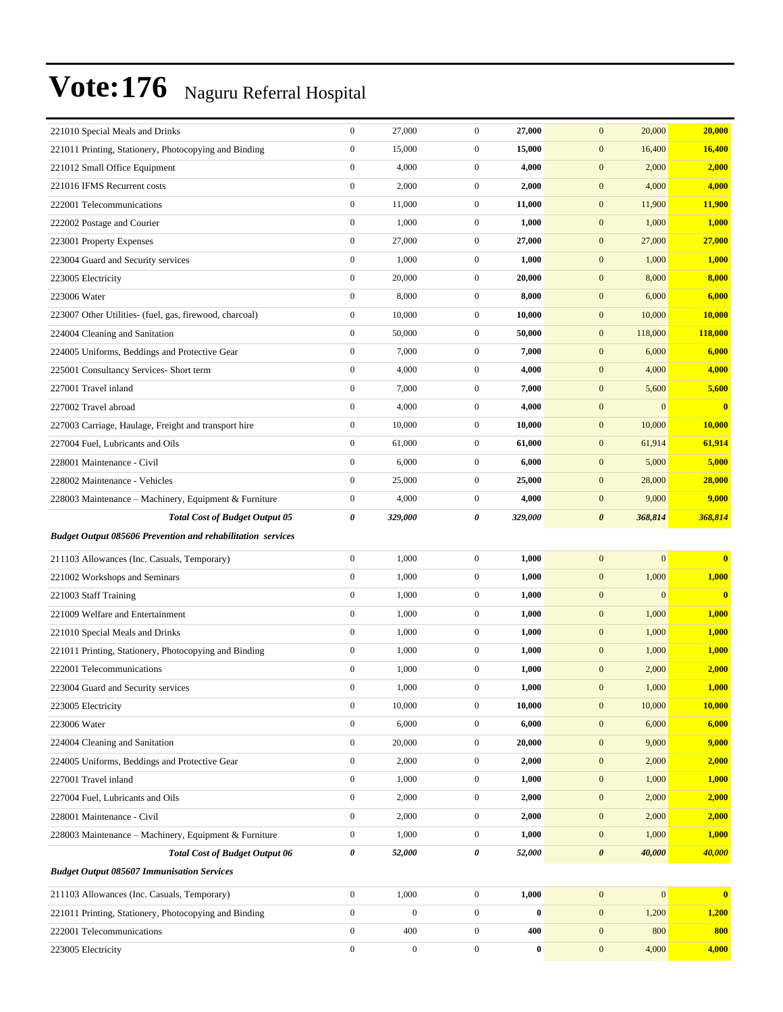| 221010 Special Meals and Drinks                                    | $\boldsymbol{0}$ | 27,000           | $\boldsymbol{0}$ | 27,000   | 20,000<br>$\mathbf{0}$           | 20,000                                  |
|--------------------------------------------------------------------|------------------|------------------|------------------|----------|----------------------------------|-----------------------------------------|
| 221011 Printing, Stationery, Photocopying and Binding              | $\boldsymbol{0}$ | 15,000           | $\mathbf{0}$     | 15,000   | $\boldsymbol{0}$<br>16,400       | 16,400                                  |
| 221012 Small Office Equipment                                      | $\boldsymbol{0}$ | 4,000            | $\mathbf{0}$     | 4,000    | $\boldsymbol{0}$<br>2,000        | 2,000                                   |
| 221016 IFMS Recurrent costs                                        | $\boldsymbol{0}$ | 2,000            | $\mathbf{0}$     | 2,000    | $\boldsymbol{0}$<br>4,000        | 4,000                                   |
| 222001 Telecommunications                                          | $\boldsymbol{0}$ | 11,000           | $\mathbf{0}$     | 11,000   | $\mathbf{0}$<br>11,900           | 11,900                                  |
| 222002 Postage and Courier                                         | $\boldsymbol{0}$ | 1,000            | $\mathbf{0}$     | 1,000    | $\mathbf{0}$<br>1,000            | 1,000                                   |
| 223001 Property Expenses                                           | $\boldsymbol{0}$ | 27,000           | $\mathbf{0}$     | 27,000   | $\boldsymbol{0}$<br>27,000       | 27,000                                  |
| 223004 Guard and Security services                                 | $\boldsymbol{0}$ | 1,000            | $\mathbf{0}$     | 1,000    | $\boldsymbol{0}$<br>1,000        | 1,000                                   |
| 223005 Electricity                                                 | $\boldsymbol{0}$ | 20,000           | $\mathbf{0}$     | 20,000   | $\boldsymbol{0}$<br>8,000        | 8,000                                   |
| 223006 Water                                                       | $\boldsymbol{0}$ | 8,000            | $\mathbf{0}$     | 8,000    | $\mathbf{0}$<br>6,000            | 6,000                                   |
| 223007 Other Utilities- (fuel, gas, firewood, charcoal)            | $\boldsymbol{0}$ | 10,000           | $\mathbf{0}$     | 10,000   | $\mathbf{0}$<br>10,000           | 10,000                                  |
| 224004 Cleaning and Sanitation                                     | $\boldsymbol{0}$ | 50,000           | $\mathbf{0}$     | 50,000   | $\boldsymbol{0}$<br>118,000      | <b>118,000</b>                          |
| 224005 Uniforms, Beddings and Protective Gear                      | $\boldsymbol{0}$ | 7,000            | $\mathbf{0}$     | 7,000    | $\boldsymbol{0}$<br>6,000        | 6,000                                   |
| 225001 Consultancy Services- Short term                            | $\boldsymbol{0}$ | 4,000            | $\mathbf{0}$     | 4,000    | $\boldsymbol{0}$<br>4,000        | 4,000                                   |
| 227001 Travel inland                                               | $\boldsymbol{0}$ | 7,000            | $\mathbf{0}$     | 7,000    | $\mathbf{0}$<br>5,600            | 5,600                                   |
| 227002 Travel abroad                                               | $\boldsymbol{0}$ | 4,000            | $\mathbf{0}$     | 4,000    | $\mathbf{0}$                     | $\mathbf{0}$<br>$\overline{\mathbf{0}}$ |
| 227003 Carriage, Haulage, Freight and transport hire               | $\boldsymbol{0}$ | 10,000           | $\mathbf{0}$     | 10,000   | $\boldsymbol{0}$<br>10,000       | 10,000                                  |
| 227004 Fuel, Lubricants and Oils                                   | $\boldsymbol{0}$ | 61,000           | $\mathbf{0}$     | 61,000   | $\boldsymbol{0}$<br>61,914       | 61,914                                  |
| 228001 Maintenance - Civil                                         | $\boldsymbol{0}$ | 6,000            | $\mathbf{0}$     | 6,000    | $\boldsymbol{0}$<br>5,000        | 5,000                                   |
| 228002 Maintenance - Vehicles                                      | $\boldsymbol{0}$ | 25,000           | $\mathbf{0}$     | 25,000   | $\mathbf{0}$<br>28,000           | 28,000                                  |
| 228003 Maintenance – Machinery, Equipment & Furniture              | $\boldsymbol{0}$ | 4,000            | $\mathbf{0}$     | 4,000    | $\mathbf{0}$<br>9,000            | 9,000                                   |
| <b>Total Cost of Budget Output 05</b>                              | 0                | 329,000          | 0                | 329,000  | $\boldsymbol{\theta}$<br>368,814 | 368,814                                 |
| <b>Budget Output 085606 Prevention and rehabilitation services</b> |                  |                  |                  |          |                                  |                                         |
| 211103 Allowances (Inc. Casuals, Temporary)                        | $\boldsymbol{0}$ | 1,000            | $\mathbf{0}$     | 1,000    | $\mathbf{0}$                     | $\mathbf{0}$<br>$\mathbf{0}$            |
| 221002 Workshops and Seminars                                      | $\boldsymbol{0}$ | 1,000            | $\mathbf{0}$     | 1,000    | 1,000<br>$\boldsymbol{0}$        | 1,000                                   |
| 221003 Staff Training                                              | $\boldsymbol{0}$ | 1,000            | $\boldsymbol{0}$ | 1,000    | $\mathbf{0}$                     | $\mathbf{0}$<br>$\bf{0}$                |
| 221009 Welfare and Entertainment                                   | $\boldsymbol{0}$ | 1,000            | $\mathbf{0}$     | 1,000    | $\boldsymbol{0}$<br>1,000        | 1,000                                   |
| 221010 Special Meals and Drinks                                    | $\boldsymbol{0}$ | 1,000            | $\mathbf{0}$     | 1,000    | $\boldsymbol{0}$<br>1,000        | 1,000                                   |
| 221011 Printing, Stationery, Photocopying and Binding              | $\boldsymbol{0}$ | 1,000            | $\mathbf{0}$     | 1,000    | $\mathbf{0}$<br>1,000            | 1,000                                   |
| 222001 Telecommunications                                          | $\boldsymbol{0}$ | 1,000            | $\mathbf{0}$     | 1,000    | $\mathbf{0}$<br>2,000            | 2,000                                   |
| 223004 Guard and Security services                                 | $\mathbf{0}$     | 1,000            | $\mathbf{0}$     | 1,000    | $\mathbf{0}$<br>1,000            | 1,000                                   |
| 223005 Electricity                                                 | $\boldsymbol{0}$ | 10,000           | $\boldsymbol{0}$ | 10,000   | $\mathbf{0}$<br>10,000           | 10,000                                  |
| 223006 Water                                                       | $\boldsymbol{0}$ | 6,000            | $\boldsymbol{0}$ | 6,000    | $\boldsymbol{0}$<br>6,000        | 6,000                                   |
| 224004 Cleaning and Sanitation                                     | $\boldsymbol{0}$ | 20,000           | $\boldsymbol{0}$ | 20,000   | $\mathbf{0}$<br>9,000            | 9,000                                   |
| 224005 Uniforms, Beddings and Protective Gear                      | $\boldsymbol{0}$ | 2,000            | $\boldsymbol{0}$ | 2,000    | $\boldsymbol{0}$<br>2,000        | 2,000                                   |
| 227001 Travel inland                                               | $\boldsymbol{0}$ | 1,000            | $\boldsymbol{0}$ | 1,000    | $\boldsymbol{0}$<br>1,000        | 1,000                                   |
| 227004 Fuel, Lubricants and Oils                                   | $\boldsymbol{0}$ | 2,000            | $\mathbf{0}$     | 2,000    | $\mathbf{0}$<br>2,000            | 2,000                                   |
| 228001 Maintenance - Civil                                         | $\boldsymbol{0}$ | 2,000            | $\boldsymbol{0}$ | 2,000    | $\boldsymbol{0}$<br>2,000        | 2,000                                   |
| 228003 Maintenance - Machinery, Equipment & Furniture              | $\boldsymbol{0}$ | 1,000            | $\boldsymbol{0}$ | 1,000    | $\mathbf{0}$<br>1,000            | 1,000                                   |
| <b>Total Cost of Budget Output 06</b>                              | 0                | 52,000           | 0                | 52,000   | $\boldsymbol{\theta}$<br>40,000  | 40,000                                  |
| <b>Budget Output 085607 Immunisation Services</b>                  |                  |                  |                  |          |                                  |                                         |
| 211103 Allowances (Inc. Casuals, Temporary)                        | $\boldsymbol{0}$ | 1,000            | $\boldsymbol{0}$ | 1,000    | $\boldsymbol{0}$                 | $\boldsymbol{0}$<br>$\mathbf{0}$        |
| 221011 Printing, Stationery, Photocopying and Binding              | $\boldsymbol{0}$ | $\boldsymbol{0}$ | $\boldsymbol{0}$ | $\bf{0}$ | $\mathbf{0}$<br>1,200            | 1,200                                   |
| 222001 Telecommunications                                          |                  |                  |                  |          |                                  |                                         |
|                                                                    | $\boldsymbol{0}$ | 400              | $\boldsymbol{0}$ | 400      | $\boldsymbol{0}$<br>800          | 800                                     |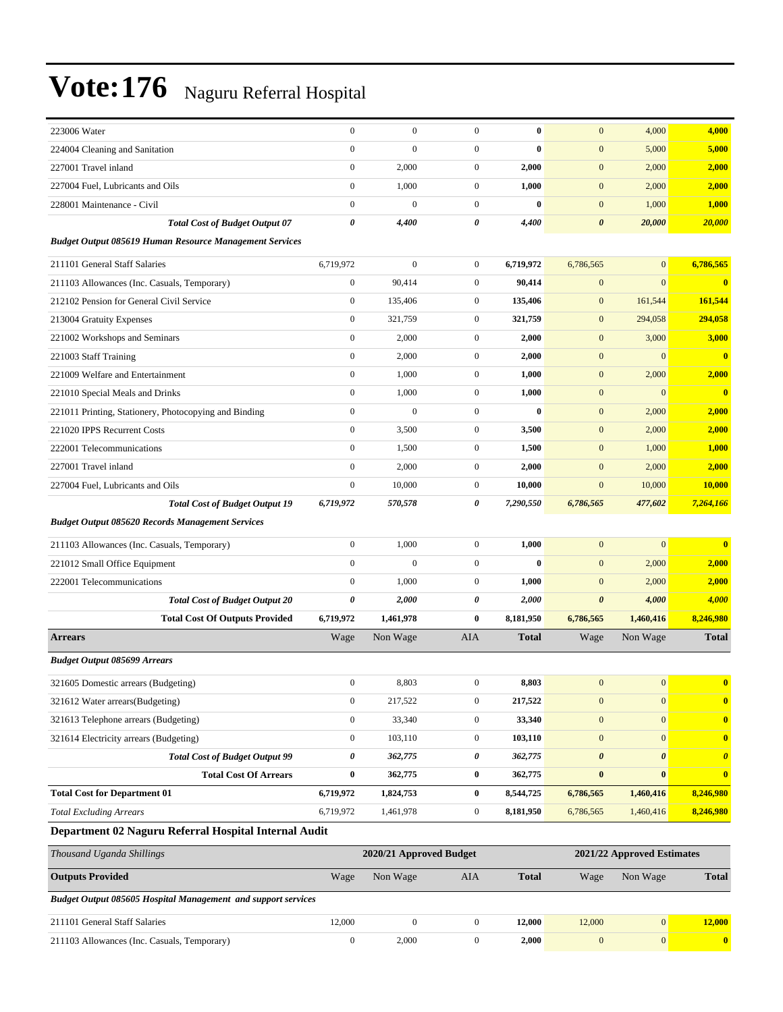| 223006 Water                                                   | $\boldsymbol{0}$ | $\boldsymbol{0}$        | $\boldsymbol{0}$ | $\bf{0}$     | $\mathbf{0}$          | 4,000                      | 4,000                   |
|----------------------------------------------------------------|------------------|-------------------------|------------------|--------------|-----------------------|----------------------------|-------------------------|
| 224004 Cleaning and Sanitation                                 | $\boldsymbol{0}$ | $\boldsymbol{0}$        | $\boldsymbol{0}$ | $\bf{0}$     | $\mathbf{0}$          | 5,000                      | 5,000                   |
| 227001 Travel inland                                           | $\boldsymbol{0}$ | 2,000                   | $\boldsymbol{0}$ | 2,000        | $\mathbf{0}$          | 2,000                      | 2,000                   |
| 227004 Fuel, Lubricants and Oils                               | $\boldsymbol{0}$ | 1,000                   | $\boldsymbol{0}$ | 1,000        | $\mathbf{0}$          | 2,000                      | 2,000                   |
| 228001 Maintenance - Civil                                     | $\mathbf{0}$     | $\boldsymbol{0}$        | $\boldsymbol{0}$ | $\bf{0}$     | $\mathbf{0}$          | 1,000                      | 1,000                   |
| <b>Total Cost of Budget Output 07</b>                          | 0                | 4,400                   | 0                | 4,400        | $\boldsymbol{\theta}$ | 20,000                     | 20,000                  |
| <b>Budget Output 085619 Human Resource Management Services</b> |                  |                         |                  |              |                       |                            |                         |
| 211101 General Staff Salaries                                  | 6,719,972        | $\boldsymbol{0}$        | $\boldsymbol{0}$ | 6,719,972    | 6,786,565             | $\mathbf{0}$               | 6,786,565               |
| 211103 Allowances (Inc. Casuals, Temporary)                    | $\boldsymbol{0}$ | 90,414                  | $\boldsymbol{0}$ | 90,414       | $\mathbf{0}$          | $\mathbf{0}$               | $\bf{0}$                |
| 212102 Pension for General Civil Service                       | $\boldsymbol{0}$ | 135,406                 | $\boldsymbol{0}$ | 135,406      | $\mathbf{0}$          | 161,544                    | 161,544                 |
| 213004 Gratuity Expenses                                       | $\boldsymbol{0}$ | 321,759                 | $\boldsymbol{0}$ | 321,759      | $\mathbf{0}$          | 294,058                    | 294,058                 |
| 221002 Workshops and Seminars                                  | $\boldsymbol{0}$ | 2,000                   | $\boldsymbol{0}$ | 2,000        | $\mathbf{0}$          | 3,000                      | 3,000                   |
| 221003 Staff Training                                          | $\boldsymbol{0}$ | 2,000                   | $\boldsymbol{0}$ | 2,000        | $\mathbf{0}$          | $\boldsymbol{0}$           | $\bf{0}$                |
| 221009 Welfare and Entertainment                               | $\boldsymbol{0}$ | 1,000                   | $\boldsymbol{0}$ | 1,000        | $\mathbf{0}$          | 2,000                      | 2,000                   |
| 221010 Special Meals and Drinks                                | $\boldsymbol{0}$ | 1,000                   | $\boldsymbol{0}$ | 1,000        | $\mathbf{0}$          | $\mathbf{0}$               | $\bf{0}$                |
| 221011 Printing, Stationery, Photocopying and Binding          | $\mathbf{0}$     | $\boldsymbol{0}$        | $\boldsymbol{0}$ | $\bf{0}$     | $\mathbf{0}$          | 2,000                      | 2,000                   |
| 221020 IPPS Recurrent Costs                                    | $\boldsymbol{0}$ | 3,500                   | $\boldsymbol{0}$ | 3,500        | $\mathbf{0}$          | 2,000                      | 2,000                   |
| 222001 Telecommunications                                      | $\boldsymbol{0}$ | 1,500                   | $\boldsymbol{0}$ | 1,500        | $\mathbf{0}$          | 1,000                      | 1,000                   |
| 227001 Travel inland                                           | $\boldsymbol{0}$ | 2,000                   | $\boldsymbol{0}$ | 2,000        | $\boldsymbol{0}$      | 2,000                      | 2,000                   |
| 227004 Fuel, Lubricants and Oils                               | $\boldsymbol{0}$ | 10,000                  | $\boldsymbol{0}$ | 10,000       | $\mathbf{0}$          | 10,000                     | 10,000                  |
| <b>Total Cost of Budget Output 19</b>                          | 6,719,972        | 570,578                 | 0                | 7,290,550    | 6,786,565             | 477,602                    | 7,264,166               |
| <b>Budget Output 085620 Records Management Services</b>        |                  |                         |                  |              |                       |                            |                         |
| 211103 Allowances (Inc. Casuals, Temporary)                    | $\boldsymbol{0}$ | 1,000                   | $\boldsymbol{0}$ | 1,000        | $\mathbf{0}$          | $\mathbf{0}$               | $\bf{0}$                |
| 221012 Small Office Equipment                                  | $\mathbf{0}$     | $\mathbf{0}$            | $\boldsymbol{0}$ | $\bf{0}$     | $\mathbf{0}$          | 2,000                      | 2,000                   |
| 222001 Telecommunications                                      | $\boldsymbol{0}$ | 1,000                   | $\boldsymbol{0}$ | 1,000        | $\mathbf{0}$          | 2,000                      | 2,000                   |
| <b>Total Cost of Budget Output 20</b>                          | 0                | 2,000                   | 0                | 2,000        | $\boldsymbol{\theta}$ | 4,000                      | 4,000                   |
| <b>Total Cost Of Outputs Provided</b>                          | 6,719,972        | 1,461,978               | $\bf{0}$         | 8,181,950    | 6,786,565             | 1,460,416                  | 8,246,980               |
| <b>Arrears</b>                                                 | Wage             | Non Wage                | AIA              | <b>Total</b> | Wage                  | Non Wage                   | <b>Total</b>            |
| <b>Budget Output 085699 Arrears</b>                            |                  |                         |                  |              |                       |                            |                         |
| 321605 Domestic arrears (Budgeting)                            | $\boldsymbol{0}$ | 8,803                   | $\boldsymbol{0}$ | 8,803        | $\boldsymbol{0}$      | $\overline{0}$             | $\overline{\mathbf{0}}$ |
| 321612 Water arrears(Budgeting)                                | $\boldsymbol{0}$ | 217,522                 | $\boldsymbol{0}$ | 217,522      | $\mathbf{0}$          | $\boldsymbol{0}$           | $\bf{0}$                |
| 321613 Telephone arrears (Budgeting)                           | $\boldsymbol{0}$ | 33,340                  | $\boldsymbol{0}$ | 33,340       | $\boldsymbol{0}$      | $\boldsymbol{0}$           | $\bf{0}$                |
| 321614 Electricity arrears (Budgeting)                         | $\boldsymbol{0}$ | 103,110                 | $\boldsymbol{0}$ | 103,110      | $\boldsymbol{0}$      | $\mathbf{0}$               | $\bf{0}$                |
| <b>Total Cost of Budget Output 99</b>                          | 0                | 362,775                 | 0                | 362,775      | $\boldsymbol{\theta}$ | $\boldsymbol{\theta}$      | $\boldsymbol{\theta}$   |
| <b>Total Cost Of Arrears</b>                                   | $\boldsymbol{0}$ | 362,775                 | $\boldsymbol{0}$ | 362,775      | $\bf{0}$              | $\bf{0}$                   | $\bf{0}$                |
| <b>Total Cost for Department 01</b>                            | 6,719,972        | 1,824,753               | $\boldsymbol{0}$ | 8,544,725    | 6,786,565             | 1,460,416                  | 8,246,980               |
| <b>Total Excluding Arrears</b>                                 | 6,719,972        | 1,461,978               | $\boldsymbol{0}$ | 8,181,950    | 6,786,565             | 1,460,416                  | 8,246,980               |
| Department 02 Naguru Referral Hospital Internal Audit          |                  |                         |                  |              |                       |                            |                         |
| Thousand Uganda Shillings                                      |                  | 2020/21 Approved Budget |                  |              |                       | 2021/22 Approved Estimates |                         |
| <b>Outputs Provided</b>                                        | Wage             | Non Wage                | AIA              | <b>Total</b> | Wage                  | Non Wage                   | <b>Total</b>            |
| Budget Output 085605 Hospital Management and support services  |                  |                         |                  |              |                       |                            |                         |
| 211101 General Staff Salaries                                  | 12,000           | $\boldsymbol{0}$        | $\boldsymbol{0}$ | 12,000       | 12,000                | $\boldsymbol{0}$           | 12,000                  |
| 211103 Allowances (Inc. Casuals, Temporary)                    | $\boldsymbol{0}$ | 2,000                   | $\overline{0}$   | 2,000        | $\boldsymbol{0}$      | $\vert 0 \vert$            | $\bullet$               |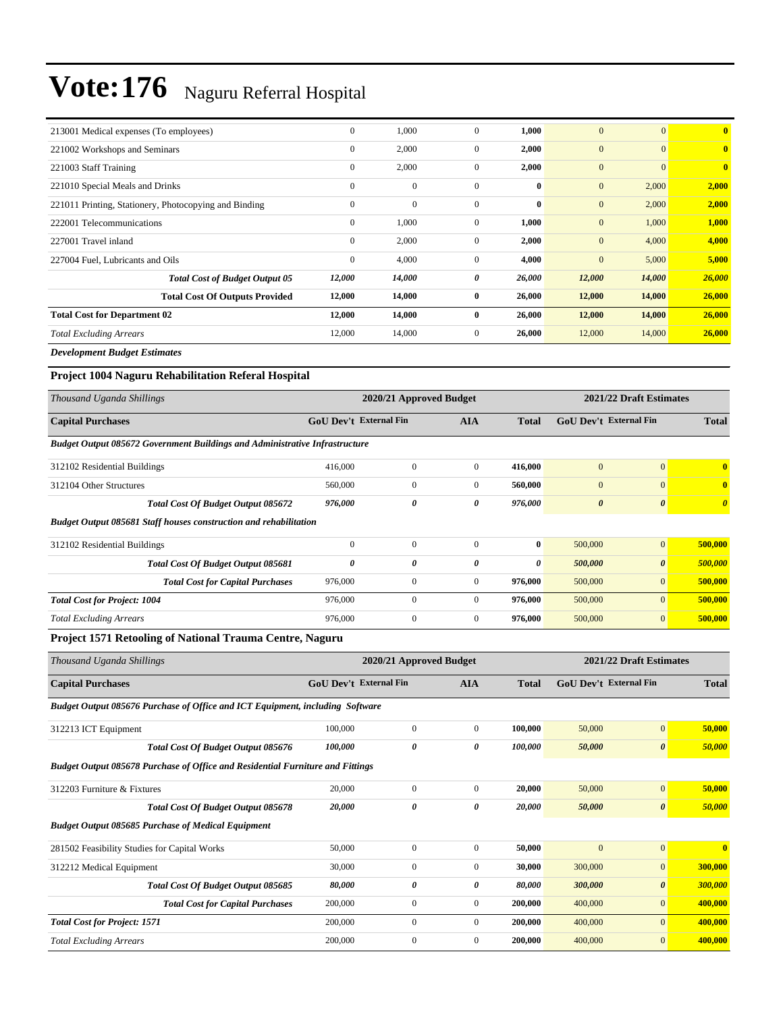| 213001 Medical expenses (To employees)                | $\mathbf{0}$ | 1,000        | $\mathbf{0}$   | 1,000    | $\mathbf{0}$ | $\overline{0}$ | $\bf{0}$     |
|-------------------------------------------------------|--------------|--------------|----------------|----------|--------------|----------------|--------------|
| 221002 Workshops and Seminars                         | $\bf{0}$     | 2,000        | $\mathbf{0}$   | 2,000    | $\mathbf{0}$ | $\overline{0}$ | $\mathbf{0}$ |
| 221003 Staff Training                                 | $\mathbf{0}$ | 2,000        | $\mathbf{0}$   | 2,000    | $\mathbf{0}$ | $\overline{0}$ | $\mathbf{0}$ |
| 221010 Special Meals and Drinks                       | $\mathbf{0}$ | $\mathbf{0}$ | $\mathbf{0}$   | $\bf{0}$ | $\mathbf{0}$ | 2,000          | 2,000        |
| 221011 Printing, Stationery, Photocopying and Binding | $\mathbf{0}$ | $\mathbf{0}$ | $\mathbf{0}$   | $\bf{0}$ | $\mathbf{0}$ | 2,000          | 2,000        |
| 222001 Telecommunications                             | $\mathbf{0}$ | 1,000        | $\overline{0}$ | 1,000    | $\mathbf{0}$ | 1,000          | 1,000        |
| 227001 Travel inland                                  | $\mathbf{0}$ | 2,000        | $\overline{0}$ | 2,000    | $\mathbf{0}$ | 4,000          | 4,000        |
| 227004 Fuel, Lubricants and Oils                      | $\mathbf{0}$ | 4,000        | $\mathbf{0}$   | 4,000    | $\mathbf{0}$ | 5,000          | 5,000        |
| <b>Total Cost of Budget Output 05</b>                 | 12,000       | 14,000       | 0              | 26,000   | 12,000       | 14,000         | 26,000       |
| <b>Total Cost Of Outputs Provided</b>                 | 12,000       | 14,000       | $\bf{0}$       | 26,000   | 12,000       | 14,000         | 26,000       |
| <b>Total Cost for Department 02</b>                   | 12,000       | 14,000       | $\bf{0}$       | 26,000   | 12,000       | 14,000         | 26,000       |
| <b>Total Excluding Arrears</b>                        | 12,000       | 14,000       | $\mathbf{0}$   | 26,000   | 12,000       | 14,000         | 26,000       |
| .                                                     |              |              |                |          |              |                |              |

*Development Budget Estimates*

#### **Project 1004 Naguru Rehabilitation Referal Hospital**

| Thousand Uganda Shillings                                                          |                                                             | 2020/21 Approved Budget |                               | 2021/22 Draft Estimates |                |                       |              |  |
|------------------------------------------------------------------------------------|-------------------------------------------------------------|-------------------------|-------------------------------|-------------------------|----------------|-----------------------|--------------|--|
| <b>Capital Purchases</b>                                                           | <b>GoU Dev't External Fin</b><br><b>AIA</b><br><b>Total</b> |                         | <b>GoU Dev't External Fin</b> |                         | <b>Total</b>   |                       |              |  |
| <b>Budget Output 085672 Government Buildings and Administrative Infrastructure</b> |                                                             |                         |                               |                         |                |                       |              |  |
| 312102 Residential Buildings                                                       | 416,000                                                     | $\overline{0}$          | $\mathbf{0}$                  | 416,000                 | $\overline{0}$ | $\mathbf{0}$          | $\bf{0}$     |  |
| 312104 Other Structures                                                            | 560,000                                                     | $\mathbf{0}$            | $\Omega$                      | 560,000                 | $\mathbf{0}$   | $\Omega$              | $\mathbf{0}$ |  |
| <b>Total Cost Of Budget Output 085672</b>                                          | 976,000                                                     | 0                       | 0                             | 976,000                 | 0              | $\boldsymbol{\theta}$ | $\theta$     |  |
| <b>Budget Output 085681 Staff houses construction and rehabilitation</b>           |                                                             |                         |                               |                         |                |                       |              |  |
| 312102 Residential Buildings                                                       | $\mathbf{0}$                                                | $\mathbf{0}$            | $\Omega$                      | $\bf{0}$                | 500,000        | $\overline{0}$        | 500,000      |  |
| Total Cost Of Budget Output 085681                                                 | 0                                                           | 0                       | 0                             | 0                       | 500,000        | $\boldsymbol{\theta}$ | 500,000      |  |
| <b>Total Cost for Capital Purchases</b>                                            | 976,000                                                     | $\overline{0}$          | $\overline{0}$                | 976,000                 | 500,000        | $\mathbf{0}$          | 500,000      |  |
| <b>Total Cost for Project: 1004</b>                                                | 976,000                                                     | $\mathbf{0}$            | $\mathbf{0}$                  | 976,000                 | 500,000        | $\overline{0}$        | 500,000      |  |
| <b>Total Excluding Arrears</b>                                                     | 976,000                                                     | $\overline{0}$          | $\mathbf{0}$                  | 976,000                 | 500,000        | $\overline{0}$        | 500,000      |  |
| <b>P. .</b><br>0.77.9<br>$\mathbf{r}$<br>$\sim$ $\sim$                             |                                                             |                         |                               |                         |                |                       |              |  |

#### **Project 1571 Retooling of National Trauma Centre, Naguru**

| Thousand Uganda Shillings                                                             |                               | 2021/22 Draft Estimates<br>2020/21 Approved Budget |                |              |                               |                       |              |
|---------------------------------------------------------------------------------------|-------------------------------|----------------------------------------------------|----------------|--------------|-------------------------------|-----------------------|--------------|
| <b>Capital Purchases</b>                                                              | <b>GoU Dev't External Fin</b> |                                                    | <b>AIA</b>     | <b>Total</b> | <b>GoU Dev't External Fin</b> |                       |              |
| Budget Output 085676 Purchase of Office and ICT Equipment, including Software         |                               |                                                    |                |              |                               |                       |              |
| 312213 ICT Equipment                                                                  | 100,000                       | $\overline{0}$                                     | $\overline{0}$ | 100,000      | 50,000                        | $\overline{0}$        | 50,000       |
| Total Cost Of Budget Output 085676                                                    | 100,000                       | 0                                                  | 0              | 100,000      | 50,000                        | $\boldsymbol{\theta}$ | 50,000       |
| <b>Budget Output 085678 Purchase of Office and Residential Furniture and Fittings</b> |                               |                                                    |                |              |                               |                       |              |
| 312203 Furniture & Fixtures                                                           | 20,000                        | $\overline{0}$                                     | $\overline{0}$ | 20.000       | 50,000                        | $\mathbf{0}$          | 50,000       |
| Total Cost Of Budget Output 085678                                                    | 20,000                        | 0                                                  | 0              | 20,000       | 50,000                        | $\boldsymbol{\theta}$ | 50,000       |
| <b>Budget Output 085685 Purchase of Medical Equipment</b>                             |                               |                                                    |                |              |                               |                       |              |
| 281502 Feasibility Studies for Capital Works                                          | 50,000                        | $\overline{0}$                                     | $\overline{0}$ | 50,000       | $\overline{0}$                | $\overline{0}$        | $\mathbf{0}$ |
| 312212 Medical Equipment                                                              | 30,000                        | $\overline{0}$                                     | $\overline{0}$ | 30,000       | 300,000                       | $\mathbf{0}$          | 300,000      |
| Total Cost Of Budget Output 085685                                                    | 80,000                        | 0                                                  | 0              | 80,000       | 300,000                       | $\boldsymbol{\theta}$ | 300,000      |
| <b>Total Cost for Capital Purchases</b>                                               | 200,000                       | $\overline{0}$                                     | $\overline{0}$ | 200,000      | 400,000                       | $\mathbf{0}$          | 400,000      |
| <b>Total Cost for Project: 1571</b>                                                   | 200,000                       | $\overline{0}$                                     | $\overline{0}$ | 200,000      | 400,000                       | $\mathbf{0}$          | 400,000      |
| <b>Total Excluding Arrears</b>                                                        | 200,000                       | $\overline{0}$                                     | $\Omega$       | 200,000      | 400,000                       | $\mathbf{0}$          | 400,000      |